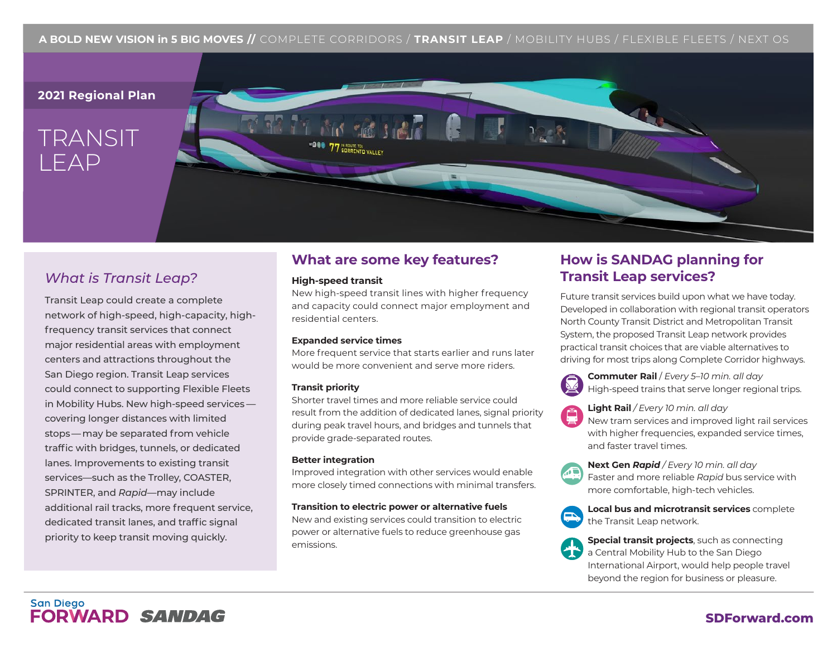### **A BOLD NEW VISION in 5 BIG MOVES //** COMPLETE CORRIDORS / **TRANSIT LEAP** / MOBILITY HUBS / FLEXIBLE FLEETS / NEXT OS

### **2021 Regional Plan**

# TRANSIT LEAP



# *What is Transit Leap?*

Transit Leap could create a complete network of high-speed, high-capacity, highfrequency transit services that connect major residential areas with employment centers and attractions throughout the San Diego region. Transit Leap services could connect to supporting Flexible Fleets in Mobility Hubs. New high-speed services covering longer distances with limited stops— may be separated from vehicle traffic with bridges, tunnels, or dedicated lanes. Improvements to existing transit services—such as the Trolley, COASTER, SPRINTER, and *Rapid*—may include additional rail tracks, more frequent service, dedicated transit lanes, and traffic signal priority to keep transit moving quickly.

## **What are some key features?**

### **High-speed transit**

New high-speed transit lines with higher frequency and capacity could connect major employment and residential centers.

### **Expanded service times**

More frequent service that starts earlier and runs later would be more convenient and serve more riders.

### **Transit priority**

Shorter travel times and more reliable service could result from the addition of dedicated lanes, signal priority during peak travel hours, and bridges and tunnels that provide grade-separated routes.

### **Better integration**

Improved integration with other services would enable more closely timed connections with minimal transfers.

### **Transition to electric power or alternative fuels**

New and existing services could transition to electric power or alternative fuels to reduce greenhouse gas emissions.

## **How is SANDAG planning for Transit Leap services?**

Future transit services build upon what we have today. Developed in collaboration with regional transit operators North County Transit District and Metropolitan Transit System, the proposed Transit Leap network provides practical transit choices that are viable alternatives to driving for most trips along Complete Corridor highways.



**Commuter Rail** / *Every 5–10 min. all day* High-speed trains that serve longer regional trips.



**Light Rail** */ Every 10 min. all day*

New tram services and improved light rail services with higher frequencies, expanded service times, and faster travel times.



**Next Gen** *Rapid / Every 10 min. all day* Faster and more reliable *Rapid* bus service with more comfortable, high-tech vehicles.



**Local bus and microtransit services** complete the Transit Leap network.



**Special transit projects**, such as connecting a Central Mobility Hub to the San Diego International Airport, would help people travel beyond the region for business or pleasure.

### **San Diego FORWARD SANDAG**

### **SDForward.com**